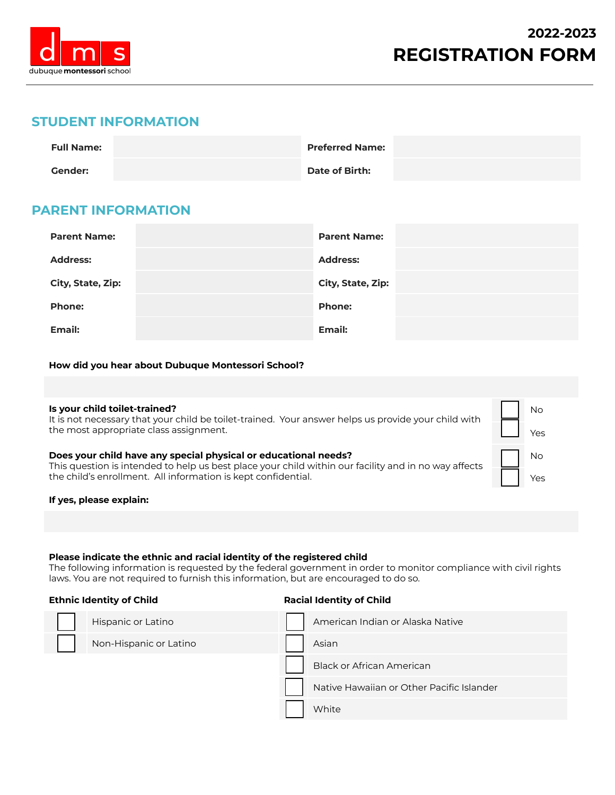

▢ No

Yes

▢ No

Yes

# **STUDENT INFORMATION**

| <b>Full Name:</b> | <b>Preferred Name:</b> |  |
|-------------------|------------------------|--|
| <b>Gender:</b>    | <b>Date of Birth:</b>  |  |

# **PARENT INFORMATION**

| <b>Parent Name:</b> | <b>Parent Name:</b> |
|---------------------|---------------------|
| <b>Address:</b>     | <b>Address:</b>     |
| City, State, Zip:   | City, State, Zip:   |
| <b>Phone:</b>       | <b>Phone:</b>       |
| Email:              | <b>Email:</b>       |

**How did you hear about Dubuque Montessori School?**

#### **Is your child toilet-trained?**

It is not necessary that your child be toilet-trained. Your answer helps us provide your child with the most appropriate class assignment.

|  |  | Does your child have any special physical or educational needs? |  |
|--|--|-----------------------------------------------------------------|--|
|  |  |                                                                 |  |

This question is intended to help us best place your child within our facility and in no way affects the child's enrollment. All information is kept confidential.

#### **If yes, please explain:**

## **Please indicate the ethnic and racial identity of the registered child**

The following information is requested by the federal government in order to monitor compliance with civil rights laws. You are not required to furnish this information, but are encouraged to do so.

#### **Ethnic Identity of Child Racial Identity of Child**

| Hispanic or Latino     | American Indian or Alaska Native          |
|------------------------|-------------------------------------------|
| Non-Hispanic or Latino | Asian                                     |
|                        | <b>Black or African American</b>          |
|                        | Native Hawaiian or Other Pacific Islander |
|                        | White                                     |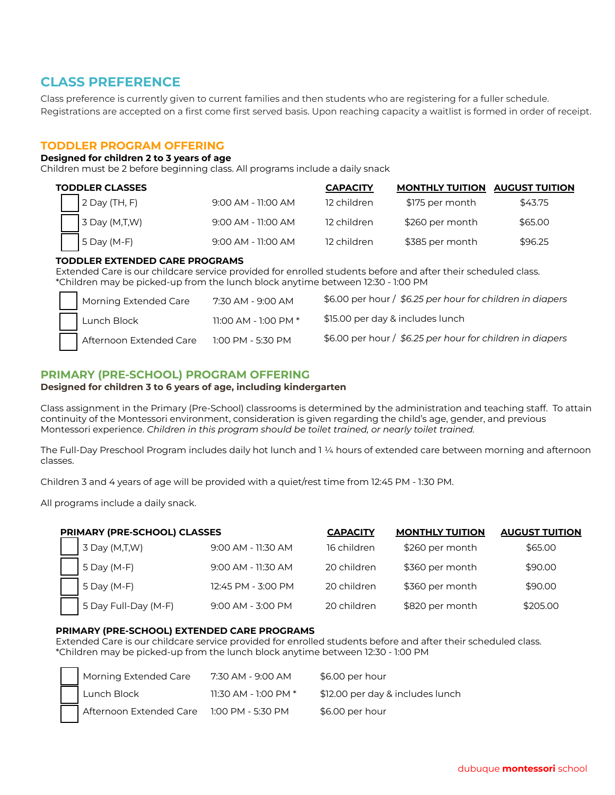# **CLASS PREFERENCE**

Class preference is currently given to current families and then students who are registering for a fuller schedule. Registrations are accepted on a first come first served basis. Upon reaching capacity a waitlist is formed in order of receipt.

# **TODDLER PROGRAM OFFERING**

#### **Designed for children 2 to 3 years of age**

Children must be 2 before beginning class. All programs include a daily snack

| <b>TODDLER CLASSES</b> |                      | <b>CAPACITY</b> | <b>MONTHLY TUITION AUGUST TUITION</b> |         |
|------------------------|----------------------|-----------------|---------------------------------------|---------|
| $2$ Day (TH, F)        | $9:00$ AM - 11:00 AM | 12 children     | \$175 per month                       | \$43.75 |
| 3 Day (M,T,W)          | $9:00$ AM - 11:00 AM | 12 children     | \$260 per month                       | \$65.00 |
| $5$ Day (M-F)          | $9:00$ AM - 11:00 AM | 12 children     | \$385 per month                       | \$96.25 |

#### **TODDLER EXTENDED CARE PROGRAMS**

Extended Care is our childcare service provided for enrolled students before and after their scheduled class. \*Children may be picked-up from the lunch block anytime between 12:30 - 1:00 PM

| Morning Extended Care   | 7:30 AM - 9:00 AM          | \$6.00 per hour / \$6.25 per hour for children in diapers |
|-------------------------|----------------------------|-----------------------------------------------------------|
| Lunch Block             | $11:00$ AM - $1:00$ PM $*$ | \$15.00 per day & includes lunch                          |
| Afternoon Extended Care | 1:00 PM - 5:30 PM          | \$6.00 per hour / \$6.25 per hour for children in diapers |

# **PRIMARY (PRE-SCHOOL) PROGRAM OFFERING**

#### **Designed for children 3 to 6 years of age, including kindergarten**

Class assignment in the Primary (Pre-School) classrooms is determined by the administration and teaching staff. To attain continuity of the Montessori environment, consideration is given regarding the child's age, gender, and previous Montessori experience. *Children in this program should be toilet trained, or nearly toilet trained.*

The Full-Day Preschool Program includes daily hot lunch and 1 ¼ hours of extended care between morning and afternoon classes.

Children 3 and 4 years of age will be provided with a quiet/rest time from 12:45 PM - 1:30 PM.

All programs include a daily snack.

| PRIMARY (PRE-SCHOOL) CLASSES |                    | <b>CAPACITY</b> | <b>MONTHLY TUITION</b> | <b>AUGUST TUITION</b> |
|------------------------------|--------------------|-----------------|------------------------|-----------------------|
| $\vert$ 3 Day (M,T,W)        | 9:00 AM - 11:30 AM | 16 children     | \$260 per month        | \$65.00               |
| $5$ Day (M-F)                | 9:00 AM - 11:30 AM | 20 children     | \$360 per month        | \$90.00               |
| 5 Day (M-F)                  | 12:45 PM - 3:00 PM | 20 children     | \$360 per month        | \$90.00               |
| 5 Day Full-Day (M-F)         | 9:00 AM - 3:00 PM  | 20 children     | \$820 per month        | \$205.00              |

#### **PRIMARY (PRE-SCHOOL) EXTENDED CARE PROGRAMS**

Extended Care is our childcare service provided for enrolled students before and after their scheduled class. \*Children may be picked-up from the lunch block anytime between 12:30 - 1:00 PM

| Morning Extended Care   | 7:30 AM - 9:00 AM      | \$6.00 per hour                  |
|-------------------------|------------------------|----------------------------------|
| Lunch Block             | 11:30 AM - 1:00 PM $*$ | \$12.00 per day & includes lunch |
| Afternoon Extended Care | 1:00 PM - 5:30 PM      | \$6.00 per hour                  |